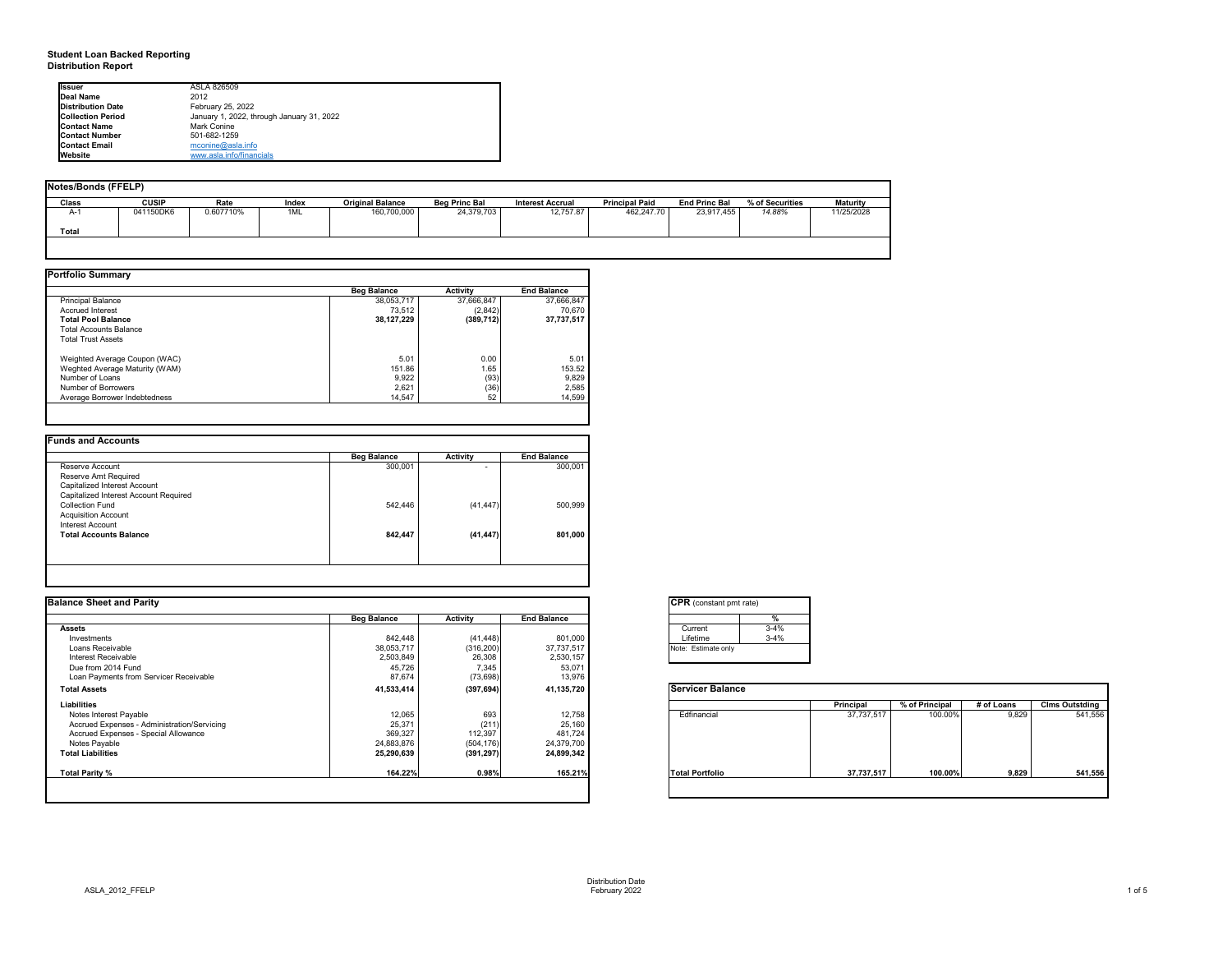## **Student Loan Backed Reporting Distribution Report**

## **Notes/Bonds (FFELP)**

| Notes/Bonds (FFELP) |              |           |       |                         |                      |                         |                       |                      |                 |                 |
|---------------------|--------------|-----------|-------|-------------------------|----------------------|-------------------------|-----------------------|----------------------|-----------------|-----------------|
| <b>Class</b>        | <b>CUSIP</b> | Rate      | Index | <b>Original Balance</b> | <b>Beg Princ Bal</b> | <b>Interest Accrual</b> | <b>Principal Paid</b> | <b>End Princ Bal</b> | % of Securities | <b>Maturity</b> |
| $A-1$               | 041150DK6    | 0.607710% | 1ML   | 160,700,000             | 24,379,703           | 12,757.87               | 462,247.70            | 23,917,455           | 14.88%          | 11/25/2028      |
| <b>Total</b>        |              |           |       |                         |                      |                         |                       |                      |                 |                 |
|                     |              |           |       |                         |                      |                         |                       |                      |                 |                 |

|                                | <b>Beg Balance</b> | <b>Activity</b> | <b>End Balance</b> |  |
|--------------------------------|--------------------|-----------------|--------------------|--|
| <b>Principal Balance</b>       | 38,053,717         | 37,666,847      | 37,666,847         |  |
| <b>Accrued Interest</b>        | 73,512             | (2,842)         | 70,670             |  |
| <b>Total Pool Balance</b>      | 38,127,229         | (389, 712)      | 37,737,517         |  |
| <b>Total Accounts Balance</b>  |                    |                 |                    |  |
| <b>Total Trust Assets</b>      |                    |                 |                    |  |
| Weighted Average Coupon (WAC)  | 5.01               | 0.00            | 5.01               |  |
| Weghted Average Maturity (WAM) | 151.86             | 1.65            | 153.52             |  |
| Number of Loans                | 9,922              | (93)            | 9,829              |  |
| Number of Borrowers            | 2,621              | (36)            | 2,585              |  |
| Average Borrower Indebtedness  | 14,547             | 52              | 14,599             |  |

| <b>Beg Balance</b> | <b>Activity</b> | <b>End Balance</b> |
|--------------------|-----------------|--------------------|
| 300,001            |                 | 300,001            |
|                    |                 |                    |
|                    |                 |                    |
|                    |                 |                    |
| 542,446            | (41, 447)       | 500,999            |
|                    |                 |                    |
|                    |                 |                    |
| 842,447            | (41, 447)       | 801,000            |
|                    |                 |                    |
|                    |                 |                    |
|                    |                 |                    |

| <b>Ilssuer</b>           | ASLA 826509                               |  |
|--------------------------|-------------------------------------------|--|
| Deal Name                | 2012                                      |  |
| <b>Distribution Date</b> | February 25, 2022                         |  |
| <b>Collection Period</b> | January 1, 2022, through January 31, 2022 |  |
| <b>Contact Name</b>      | Mark Conine                               |  |
| <b>Contact Number</b>    | 501-682-1259                              |  |
| <b>Contact Email</b>     | mconine@asla.info                         |  |
| <b>Website</b>           | www.asla.info/financials                  |  |

| <b>Balance Sheet and Parity</b>             |                    |                 |                    | <b>CPR</b> (constant pmt rate) |            |                |            |                       |
|---------------------------------------------|--------------------|-----------------|--------------------|--------------------------------|------------|----------------|------------|-----------------------|
|                                             | <b>Beg Balance</b> | <b>Activity</b> | <b>End Balance</b> |                                |            |                |            |                       |
| <b>Assets</b>                               |                    |                 |                    | $3 - 4%$<br>Current            |            |                |            |                       |
| Investments                                 | 842,448            | (41, 448)       | 801,000            | $3 - 4%$<br>Lifetime           |            |                |            |                       |
| Loans Receivable                            | 38,053,717         | (316, 200)      | 37,737,517         | Note: Estimate only            |            |                |            |                       |
| Interest Receivable                         | 2,503,849          | 26,308          | 2,530,157          |                                |            |                |            |                       |
| Due from 2014 Fund                          | 45,726             | 7,345           | 53,071             |                                |            |                |            |                       |
| Loan Payments from Servicer Receivable      | 87,674             | (73, 698)       | 13,976             |                                |            |                |            |                       |
| <b>Total Assets</b>                         | 41,533,414         | (397, 694)      | 41,135,720         | <b>Servicer Balance</b>        |            |                |            |                       |
| <b>Liabilities</b>                          |                    |                 |                    |                                | Principal  | % of Principal | # of Loans | <b>Clms Outstding</b> |
| Notes Interest Payable                      | 12,065             | 693             | 12,758             | Edfinancial                    | 37,737,517 | 100.00%        | 9,829      | 541,556               |
| Accrued Expenses - Administration/Servicing | 25,371             | (211)           | 25,160             |                                |            |                |            |                       |
| Accrued Expenses - Special Allowance        | 369,327            | 112,397         | 481,724            |                                |            |                |            |                       |
| Notes Payable                               | 24,883,876         | (504, 176)      | 24,379,700         |                                |            |                |            |                       |
| <b>Total Liabilities</b>                    | 25,290,639         | (391, 297)      | 24,899,342         |                                |            |                |            |                       |
| Total Parity %                              | 164.22%            | 0.98%           | 165.21%            | Total Portfolio                | 37,737,517 | 100.00%        | 9,829      | 541,556               |
|                                             |                    |                 |                    |                                |            |                |            |                       |





| onstant pmt rate) |          |
|-------------------|----------|
|                   | %        |
| ent               | $3 - 4%$ |
| me                | $3 - 4%$ |
| timate only       |          |
|                   |          |

|          | <b>Principal</b> | % of Principal | # of Loans | <b>Clms Outstding</b> |
|----------|------------------|----------------|------------|-----------------------|
| ancial   | 37,737,517       | 100.00%        | 9,829      | 541,556               |
| ortfolio | 37,737,517       | 100.00%        | 9,829      | 541,556               |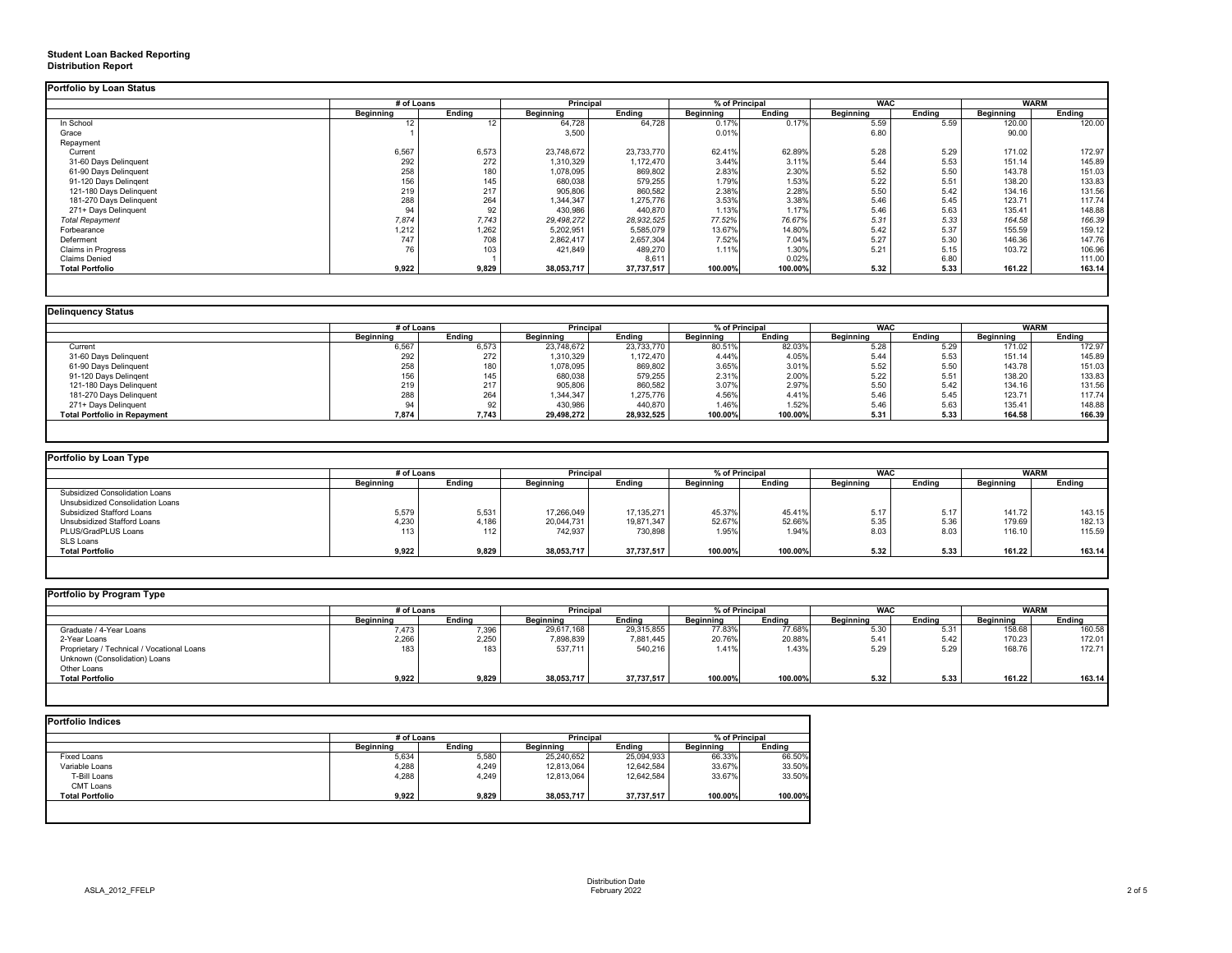## **Student Loan Backed Reporting Distribution Report**

|                           | # of Loans       |                 | <b>Principal</b> |               | $%$ of Principal |               | <b>WAC</b>       |               | <b>WARM</b>      |        |
|---------------------------|------------------|-----------------|------------------|---------------|------------------|---------------|------------------|---------------|------------------|--------|
|                           | <b>Beginning</b> | <b>Ending</b>   | <b>Beginning</b> | <b>Ending</b> | <b>Beginning</b> | <b>Ending</b> | <b>Beginning</b> | <b>Ending</b> | <b>Beginning</b> | Ending |
| In School                 | 10 <sup>1</sup>  | 12 <sup>2</sup> | 64,728           | 64,728        | 0.17%            | 0.17%         | 5.59             | 5.59          | 120.00           | 120.00 |
| Grace                     |                  |                 | 3,500            |               | 0.01%            |               | 6.80             |               | 90.00            |        |
| Repayment                 |                  |                 |                  |               |                  |               |                  |               |                  |        |
| Current                   | 6,567            | 6,573           | 23,748,672       | 23,733,770    | 62.41%           | 62.89%        | 5.28             | 5.29          | 171.02           | 172.97 |
| 31-60 Days Delinquent     | 292              | 272             | 1,310,329        | 1,172,470     | 3.44%            | 3.11%         | 5.44             | 5.53          | 151.14           | 145.89 |
| 61-90 Days Delinquent     | 258              | 180             | 1,078,095        | 869,802       | 2.83%            | 2.30%         | 5.52             | 5.50          | 143.78           | 151.03 |
| 91-120 Days Delingent     | 156              | 145             | 680,038          | 579,255       | 1.79%            | 1.53%         | 5.22             | 5.51          | 138.20           | 133.83 |
| 121-180 Days Delinquent   | 219              | 217             | 905,806          | 860,582       | 2.38%            | 2.28%         | 5.50             | 5.42          | 134.16           | 131.56 |
| 181-270 Days Delinquent   | 288              | 264             | 1,344,347        | 1,275,776     | 3.53%            | 3.38%         | 5.46             | 5.45          | 123.71           | 117.74 |
| 271+ Days Delinquent      | 94               | 92              | 430,986          | 440,870       | 1.13%            | 1.17%         | 5.46             | 5.63          | 135.41           | 148.88 |
| <b>Total Repayment</b>    | 7,874            | 7,743           | 29,498,272       | 28,932,525    | 77.52%           | 76.67%        | 5.31             | 5.33          | 164.58           | 166.39 |
| Forbearance               | 1,212            | 1,262           | 5,202,951        | 5,585,079     | 13.67%           | 14.80%        | 5.42             | 5.37          | 155.59           | 159.12 |
| Deferment                 | 747              | 708             | 2,862,417        | 2,657,304     | 7.52%            | 7.04%         | 5.27             | 5.30          | 146.36           | 147.76 |
| <b>Claims in Progress</b> | 76               | 103             | 421,849          | 489,270       | 1.11%            | 1.30%         | 5.21             | 5.15          | 103.72           | 106.96 |
| <b>Claims Denied</b>      |                  |                 |                  | 8,611         |                  | 0.02%         |                  | 6.80          |                  | 111.00 |
| <b>Total Portfolio</b>    | 9,922            | 9,829           | 38,053,717       | 37,737,517    | 100.00%          | 100.00%       | 5.32             | 5.33          | 161.22           | 163.14 |

|                                     | # of Loans       |               |                  | <b>Principal</b> |                  | % of Principal | <b>WAC</b>       |               | <b>WARM</b>      |               |
|-------------------------------------|------------------|---------------|------------------|------------------|------------------|----------------|------------------|---------------|------------------|---------------|
|                                     | <b>Beginning</b> | <b>Ending</b> | <b>Beginning</b> | <b>Ending</b>    | <b>Beginning</b> | <b>Ending</b>  | <b>Beginning</b> | <b>Ending</b> | <b>Beginning</b> | <b>Ending</b> |
| Current                             | 6,567            | 6,573         | 23,748,672       | 23,733,770       | 80.51%           | 82.03%         | 5.28             | 5.29          | 171.02           | 172.97        |
| 31-60 Days Delinquent               | 292              | 272           | 1,310,329        | 1,172,470        | 4.44%            | 4.05%          | 5.44             | 5.53          | 151.14           | 145.89        |
| 61-90 Days Delinquent               | 258              | 180           | 1,078,095        | 869,802          | 3.65%            | 3.01%          | 5.52             | 5.50          | 143.78           | 151.03        |
| 91-120 Days Delingent               | 156              | 145           | 680,038          | 579,255          | 2.31%            | 2.00%          | 5.22             | 5.51          | 138.20           | 133.83        |
| 121-180 Days Delinquent             | 219              | 217           | 905,806          | 860,582          | 3.07%            | 2.97%          | 5.50             | 5.42          | 134.16           | 131.56        |
| 181-270 Days Delinquent             | 288              | 264           | 1,344,347        | 1,275,776        | 4.56%            | 4.41%          | 5.46             | 5.45          | 123.71           | 117.74        |
| 271+ Days Delinquent                | 94               | 92            | 430,986          | 440,870          | 1.46%            | 1.52%          | 5.46             | 5.63          | 135.41           | 148.88        |
| <b>Total Portfolio in Repayment</b> | 7,874            | 7,743         | 29,498,272       | 28,932,525       | 100.00%          | 100.00%        | 5.31             | 5.33          | 164.58           | 166.39        |

| <b>Portfolio by Loan Type</b>         |                  |               |                  |                  |                  |                |                  |               |                  |               |
|---------------------------------------|------------------|---------------|------------------|------------------|------------------|----------------|------------------|---------------|------------------|---------------|
|                                       | # of Loans       |               |                  | <b>Principal</b> |                  | % of Principal | <b>WAC</b>       |               | <b>WARM</b>      |               |
|                                       | <b>Beginning</b> | <b>Ending</b> | <b>Beginning</b> | <b>Ending</b>    | <b>Beginning</b> | <b>Ending</b>  | <b>Beginning</b> | <b>Ending</b> | <b>Beginning</b> | <b>Ending</b> |
| <b>Subsidized Consolidation Loans</b> |                  |               |                  |                  |                  |                |                  |               |                  |               |
| Unsubsidized Consolidation Loans      |                  |               |                  |                  |                  |                |                  |               |                  |               |
| Subsidized Stafford Loans             | 5,579            | 5,531         | 17,266,049       | 17, 135, 271     | 45.37%           | 45.41%         | 5.17             | 5.17          | 141.72           | 143.15        |
| Unsubsidized Stafford Loans           | 4,230            | 4,186         | 20,044,731       | 19,871,347       | 52.67%           | 52.66%         | 5.35             | 5.36          | 179.69           | 182.13        |
| PLUS/GradPLUS Loans                   | 113              | 112           | 742,937          | 730,898          | 1.95%            | 1.94%          | 8.03             | 8.03          | 116.10           | 115.59        |
| SLS Loans                             |                  |               |                  |                  |                  |                |                  |               |                  |               |
| <b>Total Portfolio</b>                | 9,922            | 9,829         | 38,053,717       | 37,737,517       | 100.00%          | 100.00%        | 5.32             | 5.33          | 161.22           | 163.14        |
|                                       |                  |               |                  |                  |                  |                |                  |               |                  |               |

|                                            |                  | # of Loans    |                  | <b>Principal</b> |                  | % of Principal | <b>WAC</b>       |                  | <b>WARM</b>      |               |
|--------------------------------------------|------------------|---------------|------------------|------------------|------------------|----------------|------------------|------------------|------------------|---------------|
|                                            | <b>Beginning</b> | <b>Ending</b> | <b>Beginning</b> | <b>Ending</b>    | <b>Beginning</b> | <b>Ending</b>  | <b>Beginning</b> | <b>Ending</b>    | <b>Beginning</b> | <b>Ending</b> |
| Graduate / 4-Year Loans                    | 7,473            | 7,396         | 29,617,168       | 29,315,855       | 77.83%           | 77.68%         | 5.30             | 5.3 <sup>′</sup> | 158.68           | 160.58        |
| 2-Year Loans                               | 2,266            | 2,250         | 7,898,839        | 7,881,445        | 20.76%           | 20.88%         | 5.41             | 5.42             | 170.23           | 172.01        |
| Proprietary / Technical / Vocational Loans | 183              | 183           | 537,711          | 540,216          | 1.41%            | 1.43%          | 5.29             | 5.29             | 168.76           | 172.71        |
| Unknown (Consolidation) Loans              |                  |               |                  |                  |                  |                |                  |                  |                  |               |
| Other Loans                                |                  |               |                  |                  |                  |                |                  |                  |                  |               |
| <b>Total Portfolio</b>                     | 9,922            | 9,829         | 38,053,717       | 37,737,517       | 100.00%          | 100.00%        | 5.32             | 5.33             | 161.22           | 163.14        |

|                        | # of Loans       |               | <b>Principal</b> |               | % of Principal   |               |
|------------------------|------------------|---------------|------------------|---------------|------------------|---------------|
|                        | <b>Beginning</b> | <b>Ending</b> | <b>Beginning</b> | <b>Ending</b> | <b>Beginning</b> | <b>Ending</b> |
| <b>Fixed Loans</b>     | 5,634            | 5,580         | 25,240,652       | 25,094,933    | 66.33%           | 66.50%        |
| Variable Loans         | 4,288            | 4,249         | 12,813,064       | 12,642,584    | 33.67%           | 33.50%        |
| T-Bill Loans           | 4,288            | 4,249         | 12,813,064       | 12,642,584    | 33.67%           | 33.50%        |
| <b>CMT Loans</b>       |                  |               |                  |               |                  |               |
| <b>Total Portfolio</b> | 9,922            | 9,829         | 38,053,717       | 37,737,517    | 100.00%          | 100.00%       |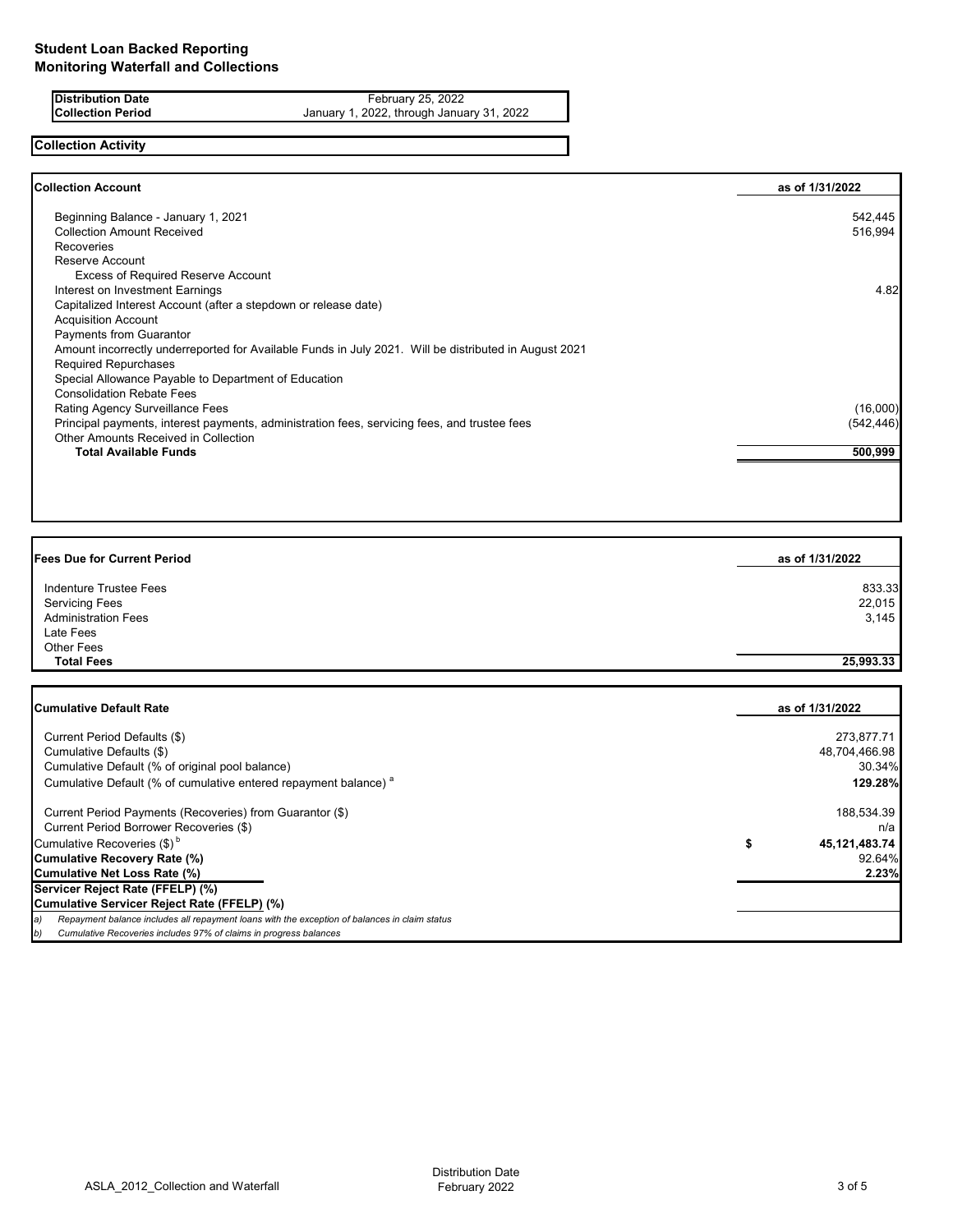**Distribution Date** February 25, 2022<br>**Collection Period** January 1, 2022, through Janua January 1, 2022, through January 31, 2022

# **Collection Activity**

| <b>Collection Account</b>                                                                             | as of 1/31/2022 |
|-------------------------------------------------------------------------------------------------------|-----------------|
| Beginning Balance - January 1, 2021                                                                   | 542,445         |
| <b>Collection Amount Received</b>                                                                     | 516,994         |
| <b>Recoveries</b>                                                                                     |                 |
| Reserve Account                                                                                       |                 |
| <b>Excess of Required Reserve Account</b>                                                             |                 |
| Interest on Investment Earnings                                                                       | 4.82            |
| Capitalized Interest Account (after a stepdown or release date)                                       |                 |
| <b>Acquisition Account</b>                                                                            |                 |
| <b>Payments from Guarantor</b>                                                                        |                 |
| Amount incorrectly underreported for Available Funds in July 2021. Will be distributed in August 2021 |                 |
| <b>Required Repurchases</b>                                                                           |                 |
| Special Allowance Payable to Department of Education                                                  |                 |
| <b>Consolidation Rebate Fees</b>                                                                      |                 |
| <b>Rating Agency Surveillance Fees</b>                                                                | (16,000)        |
| Principal payments, interest payments, administration fees, servicing fees, and trustee fees          | (542, 446)      |
| Other Amounts Received in Collection                                                                  |                 |
| <b>Total Available Funds</b>                                                                          | 500,999         |
|                                                                                                       |                 |

| <b>Fees Due for Current Period</b> | as of 1/31/2022 |
|------------------------------------|-----------------|
| <b>Indenture Trustee Fees</b>      | 833.33          |
| <b>Servicing Fees</b>              | 22,015          |
| <b>Administration Fees</b>         | 3,145           |
| Late Fees                          |                 |
| <b>Other Fees</b>                  |                 |
| <b>Total Fees</b>                  | 25,993.33       |

| <b>Cumulative Default Rate</b>                                                                       | as of 1/31/2022 |
|------------------------------------------------------------------------------------------------------|-----------------|
| Current Period Defaults (\$)                                                                         | 273,877.71      |
| Cumulative Defaults (\$)                                                                             | 48,704,466.98   |
| Cumulative Default (% of original pool balance)                                                      | 30.34%          |
| Cumulative Default (% of cumulative entered repayment balance) <sup>a</sup>                          | 129.28%         |
| Current Period Payments (Recoveries) from Guarantor (\$)                                             | 188,534.39      |
| Current Period Borrower Recoveries (\$)                                                              | n/a             |
| Cumulative Recoveries $(\$)^{b}$                                                                     | 45,121,483.74   |
| Cumulative Recovery Rate (%)                                                                         | 92.64%          |
| Cumulative Net Loss Rate (%)                                                                         | 2.23%           |
| Servicer Reject Rate (FFELP) (%)                                                                     |                 |
| Cumulative Servicer Reject Rate (FFELP) (%)                                                          |                 |
| Repayment balance includes all repayment loans with the exception of balances in claim status<br>la) |                 |
| Cumulative Recoveries includes 97% of claims in progress balances<br>b)                              |                 |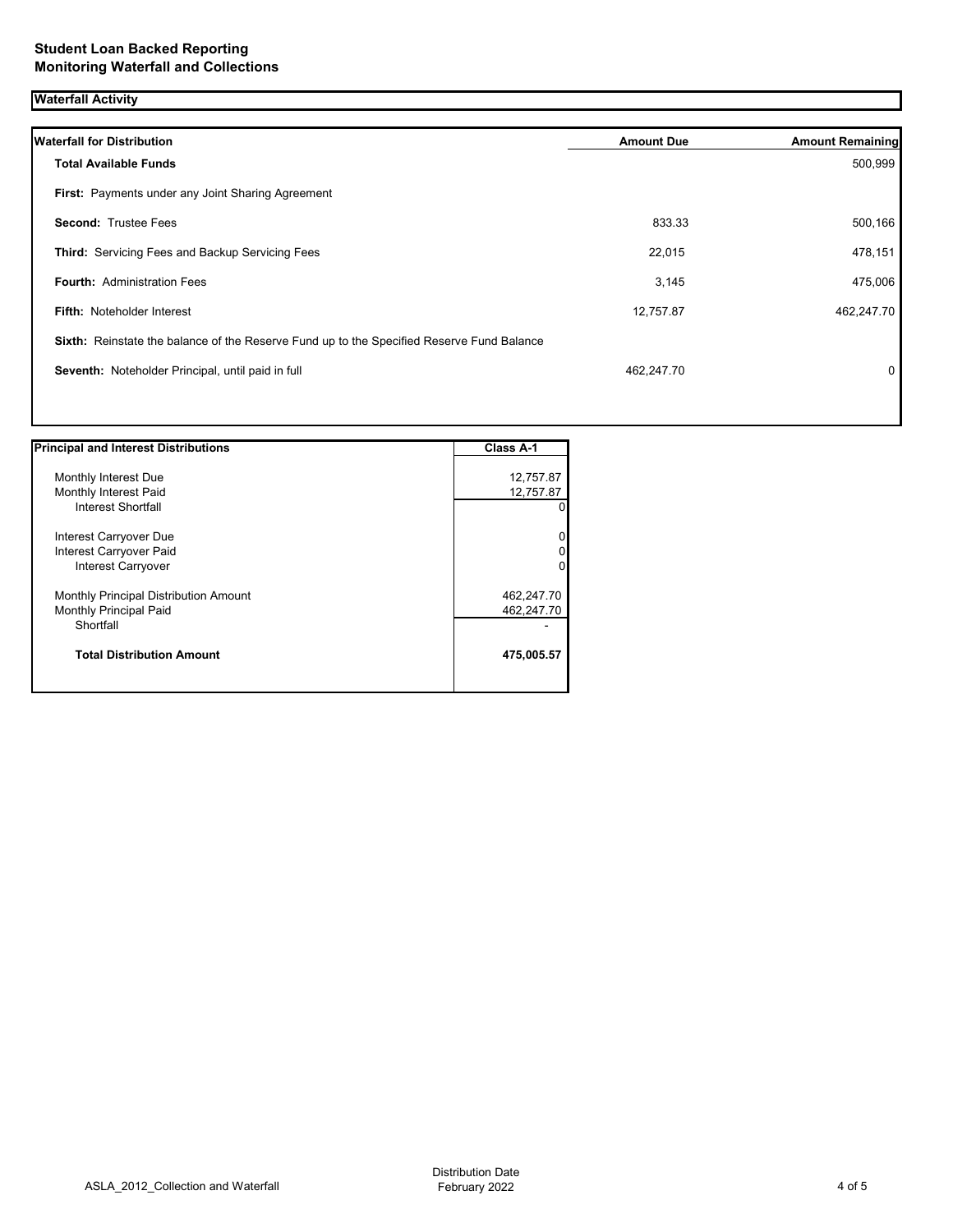## **Waterfall Activity**

| <b>Waterfall for Distribution</b>                                                         | <b>Amount Due</b> | <b>Amount Remaining</b> |
|-------------------------------------------------------------------------------------------|-------------------|-------------------------|
| <b>Total Available Funds</b>                                                              |                   | 500,999                 |
| First: Payments under any Joint Sharing Agreement                                         |                   |                         |
| <b>Second: Trustee Fees</b>                                                               | 833.33            | 500,166                 |
| Third: Servicing Fees and Backup Servicing Fees                                           | 22,015            | 478,151                 |
| <b>Fourth: Administration Fees</b>                                                        | 3,145             | 475,006                 |
| <b>Fifth: Noteholder Interest</b>                                                         | 12,757.87         | 462,247.70              |
| Sixth: Reinstate the balance of the Reserve Fund up to the Specified Reserve Fund Balance |                   |                         |
| Seventh: Noteholder Principal, until paid in full                                         | 462,247.70        | 0                       |
|                                                                                           |                   |                         |

| <b>Principal and Interest Distributions</b>  | <b>Class A-1</b> |  |
|----------------------------------------------|------------------|--|
|                                              |                  |  |
| Monthly Interest Due                         | 12,757.87        |  |
| Monthly Interest Paid                        | 12,757.87        |  |
| Interest Shortfall                           |                  |  |
| Interest Carryover Due                       | 0                |  |
| Interest Carryover Paid                      | 0                |  |
| Interest Carryover                           | 0                |  |
| <b>Monthly Principal Distribution Amount</b> | 462,247.70       |  |
| <b>Monthly Principal Paid</b>                | 462,247.70       |  |
| Shortfall                                    |                  |  |
| <b>Total Distribution Amount</b>             | 475,005.57       |  |
|                                              |                  |  |